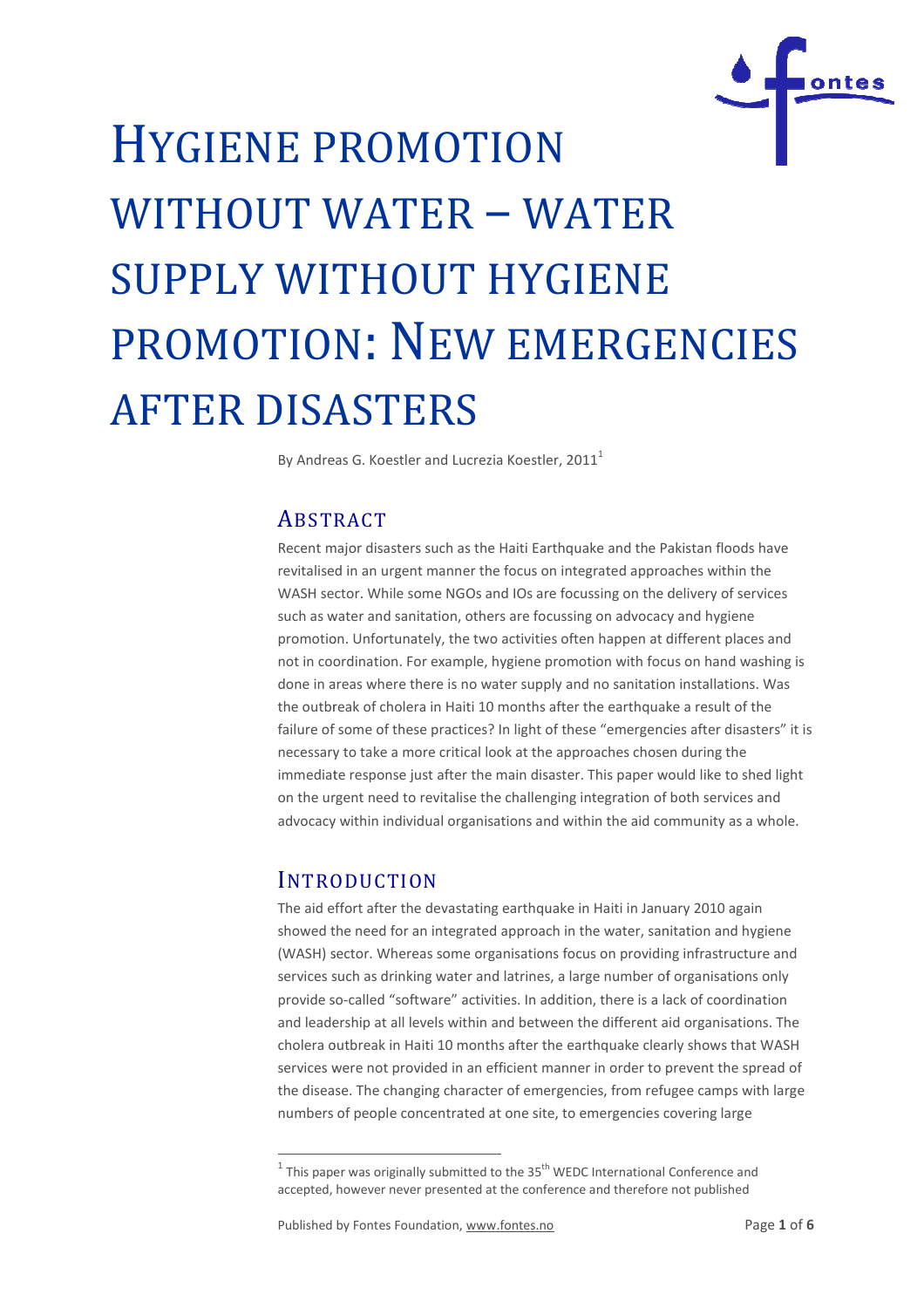

# HYGIENE PROMOTION WITHOUT WATER – WATER SUPPLY WITHOUT HYGIENE PROMOTION: NEW EMERGENCIES AFTER DISASTERS

By Andreas G. Koestler and Lucrezia Koestler, 2011<sup>1</sup>

## **ABSTRACT**

Recent major disasters such as the Haiti Earthquake and the Pakistan floods have revitalised in an urgent manner the focus on integrated approaches within the WASH sector. While some NGOs and IOs are focussing on the delivery of services such as water and sanitation, others are focussing on advocacy and hygiene Recent major disasters such as the Haiti Earthquake and the Pakistan floods have<br>revitalised in an urgent manner the focus on integrated approaches within the<br>WASH sector. While some NGOs and IOs are focussing on the deliv not in coordination. For example, hygiene promotion with focus on hand washing is done in areas where there is no water supply and no sanitation installations. Was the outbreak of cholera in Haiti 10 months after the earthquake a result of the failure of some of these practices? In light of these "emergencies after disasters" it is necessary to take a more critical look at the approaches chose chosen during the immediate response just after the main disaster. This paper would like to shed light on the urgent need to revitalise the challenging integration of both services and advocacy within individual organisations and within the aid community as a whole. on the urgent need to revitalise the challenging integration of both services a<br>advocacy within individual organisations and within the aid community as a w<br> $\sqrt{\text{NTRODUCTION}}$ <br>The aid effort after the devastating earthquake i

## **INTRODUCTION**

.

showed the need for an integrated approach in the water, sanitation and hygiene (WASH) sector. Whereas some organisations focus on providing infrastructure and services such as drinking water and latrines, a large number of organisations only provide so-called "software" activities. In addition, there is a lack of coordination and leadership at all levels within and between the different aid organisations. The cholera outbreak in Haiti 10 months after the earthquake clearly shows that WASH services were not provided in an efficient manner in order to prevent the sprea the disease. The changing character of emergencies, from refugee camps with large the disease. The changing character of emergencies, from refugee camps wi<br>numbers of people concentrated at one site, to emergencies covering large called "software" activities. In addition, there is a lack of coordination<br>ship at all levels within and between the different aid organisations. The<br>shreak in Haiti 10 months after the earthquake clearly shows that WASH<br>r

 $^{1}$  This paper was originally submitted to the 35<sup>th</sup> WEDC International Conference and accepted, however never presented at the conference and therefore not published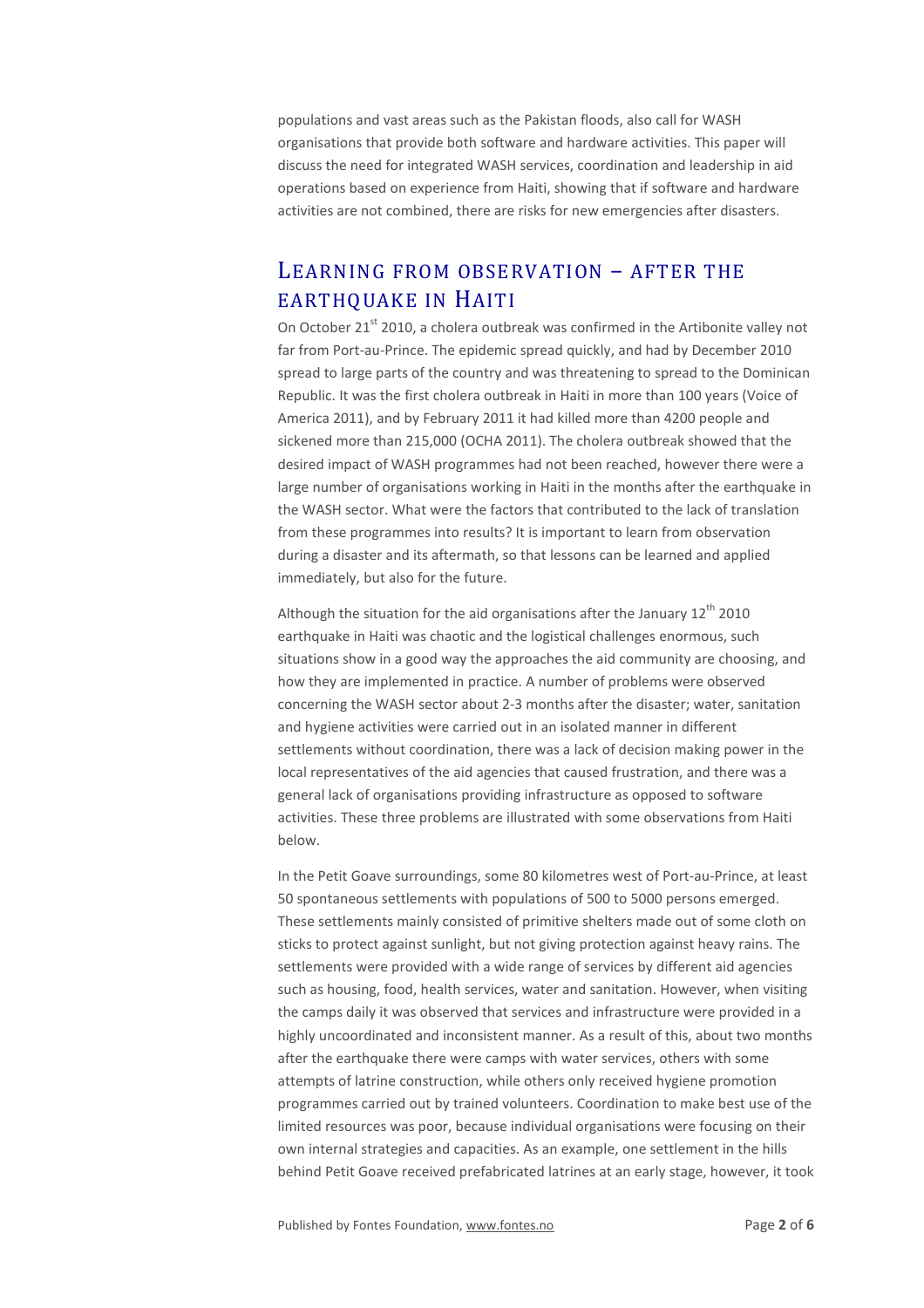populations and vast areas such as the Pakistan floods, also call for WASH organisations that provide both software and hardware activities. This paper will discuss the need for integrated WASH services, coordination and leadership in aid operations based on experience from Haiti, showing that if software and hardware activities are not combined, there are risks for new emergencies after disasters.

## LEARNING FROM OBSERVATION – AFTER THE EARTHQUAKE IN HAITI

On October 21<sup>st</sup> 2010, a cholera outbreak was confirmed in the Artibonite valley not far from Port-au-Prince. The epidemic spread quickly, and had by December 2010 spread to large parts of the country and was threatening to spread to the Dominican Republic. It was the first cholera outbreak in Haiti in more than 100 years (Voice of America 2011), and by February 2011 it had killed more than 4200 people and sickened more than 215,000 (OCHA 2011). The cholera outbreak showed that the desired impact of WASH programmes had not been reached, however there were a large number of organisations working in Haiti in the months after the earthquake in the WASH sector. What were the factors that contributed to the lack of translation from these programmes into results? It is important to learn from observation during a disaster and its aftermath, so that lessons can be learned and applied immediately, but also for the future.

Although the situation for the aid organisations after the January  $12<sup>th</sup>$  2010 earthquake in Haiti was chaotic and the logistical challenges enormous, such situations show in a good way the approaches the aid community are choosing, and how they are implemented in practice. A number of problems were observed concerning the WASH sector about 2-3 months after the disaster; water, sanitation and hygiene activities were carried out in an isolated manner in different settlements without coordination, there was a lack of decision making power in the local representatives of the aid agencies that caused frustration, and there was a general lack of organisations providing infrastructure as opposed to software activities. These three problems are illustrated with some observations from Haiti below.

In the Petit Goave surroundings, some 80 kilometres west of Port-au-Prince, at least 50 spontaneous settlements with populations of 500 to 5000 persons emerged. These settlements mainly consisted of primitive shelters made out of some cloth on sticks to protect against sunlight, but not giving protection against heavy rains. The settlements were provided with a wide range of services by different aid agencies such as housing, food, health services, water and sanitation. However, when visiting the camps daily it was observed that services and infrastructure were provided in a highly uncoordinated and inconsistent manner. As a result of this, about two months after the earthquake there were camps with water services, others with some attempts of latrine construction, while others only received hygiene promotion programmes carried out by trained volunteers. Coordination to make best use of the limited resources was poor, because individual organisations were focusing on their own internal strategies and capacities. As an example, one settlement in the hills behind Petit Goave received prefabricated latrines at an early stage, however, it took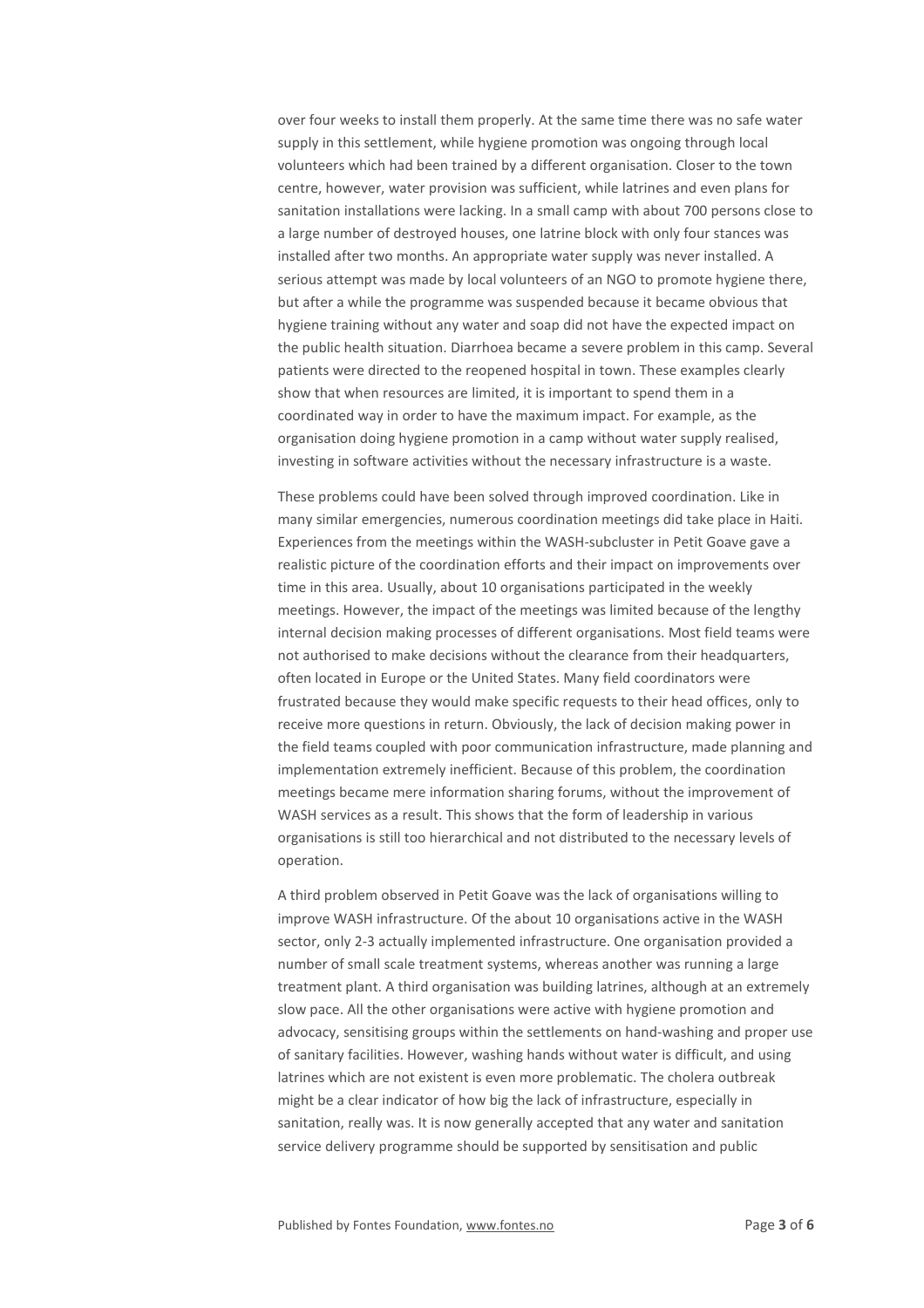over four weeks to install them properly. At the same time there was no safe water supply in this settlement, while hygiene promotion was ongoing through local volunteers which had been trained by a different organisation. Closer to the town centre, however, water provision was sufficient, while latrines and even plans for sanitation installations were lacking. In a small camp with about 700 persons close to a large number of destroyed houses, one latrine block with only four stances was installed after two months. An appropriate water supply was never installed. A serious attempt was made by local volunteers of an NGO to promote hygiene there, but after a while the programme was suspended because it became obvious that hygiene training without any water and soap did not have the expected impact on the public health situation. Diarrhoea became a severe problem in this camp. Several patients were directed to the reopened hospital in town. These examples clearly show that when resources are limited, it is important to spend them in a coordinated way in order to have the maximum impact. For example, as the organisation doing hygiene promotion in a camp without water supply realised, investing in software activities without the necessary infrastructure is a waste.

These problems could have been solved through improved coordination. Like in many similar emergencies, numerous coordination meetings did take place in Haiti. Experiences from the meetings within the WASH-subcluster in Petit Goave gave a realistic picture of the coordination efforts and their impact on improvements over time in this area. Usually, about 10 organisations participated in the weekly meetings. However, the impact of the meetings was limited because of the lengthy internal decision making processes of different organisations. Most field teams were not authorised to make decisions without the clearance from their headquarters, often located in Europe or the United States. Many field coordinators were frustrated because they would make specific requests to their head offices, only to receive more questions in return. Obviously, the lack of decision making power in the field teams coupled with poor communication infrastructure, made planning and implementation extremely inefficient. Because of this problem, the coordination meetings became mere information sharing forums, without the improvement of WASH services as a result. This shows that the form of leadership in various organisations is still too hierarchical and not distributed to the necessary levels of operation.

A third problem observed in Petit Goave was the lack of organisations willing to improve WASH infrastructure. Of the about 10 organisations active in the WASH sector, only 2-3 actually implemented infrastructure. One organisation provided a number of small scale treatment systems, whereas another was running a large treatment plant. A third organisation was building latrines, although at an extremely slow pace. All the other organisations were active with hygiene promotion and advocacy, sensitising groups within the settlements on hand-washing and proper use of sanitary facilities. However, washing hands without water is difficult, and using latrines which are not existent is even more problematic. The cholera outbreak might be a clear indicator of how big the lack of infrastructure, especially in sanitation, really was. It is now generally accepted that any water and sanitation service delivery programme should be supported by sensitisation and public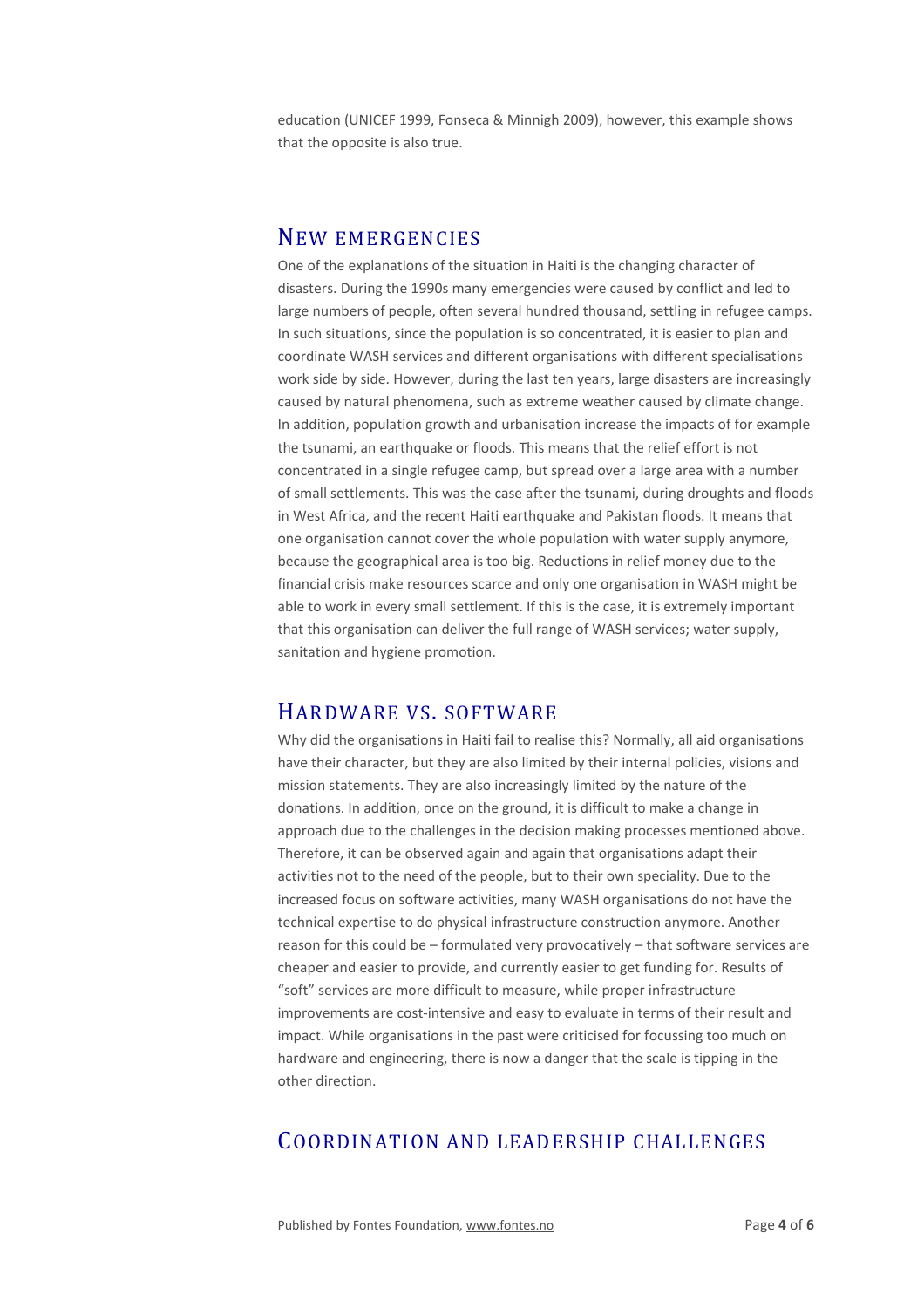education (UNICEF 1999, Fonseca & Minnigh 2009), however, this example shows that the opposite is also true.

#### NEW EMERGENCIES

One of the explanations of the situation in Haiti is the changing character of disasters. During the 1990s many emergencies were caused by conflict and led to large numbers of people, often several hundred thousand, settling in refugee camps. In such situations, since the population is so concentrated, it is easier to plan and coordinate WASH services and different organisations with different specialisations work side by side. However, during the last ten years, large disasters are increasingly caused by natural phenomena, such as extreme weather caused by climate change. In addition, population growth and urbanisation increase the impacts of for example the tsunami, an earthquake or floods. This means that the relief effort is not concentrated in a single refugee camp, but spread over a large area with a number of small settlements. This was the case after the tsunami, during droughts and floods in West Africa, and the recent Haiti earthquake and Pakistan floods. It means that one organisation cannot cover the whole population with water supply anymore, because the geographical area is too big. Reductions in relief money due to the financial crisis make resources scarce and only one organisation in WASH might be able to work in every small settlement. If this is the case, it is extremely important that this organisation can deliver the full range of WASH services; water supply, sanitation and hygiene promotion.

#### HARDWARE VS. SOFTWARE

Why did the organisations in Haiti fail to realise this? Normally, all aid organisations have their character, but they are also limited by their internal policies, visions and mission statements. They are also increasingly limited by the nature of the donations. In addition, once on the ground, it is difficult to make a change in approach due to the challenges in the decision making processes mentioned above. Therefore, it can be observed again and again that organisations adapt their activities not to the need of the people, but to their own speciality. Due to the increased focus on software activities, many WASH organisations do not have the technical expertise to do physical infrastructure construction anymore. Another reason for this could be – formulated very provocatively – that software services are cheaper and easier to provide, and currently easier to get funding for. Results of "soft" services are more difficult to measure, while proper infrastructure improvements are cost-intensive and easy to evaluate in terms of their result and impact. While organisations in the past were criticised for focussing too much on hardware and engineering, there is now a danger that the scale is tipping in the other direction.

## COORDINATION AND LEADERSHIP CHALLENGES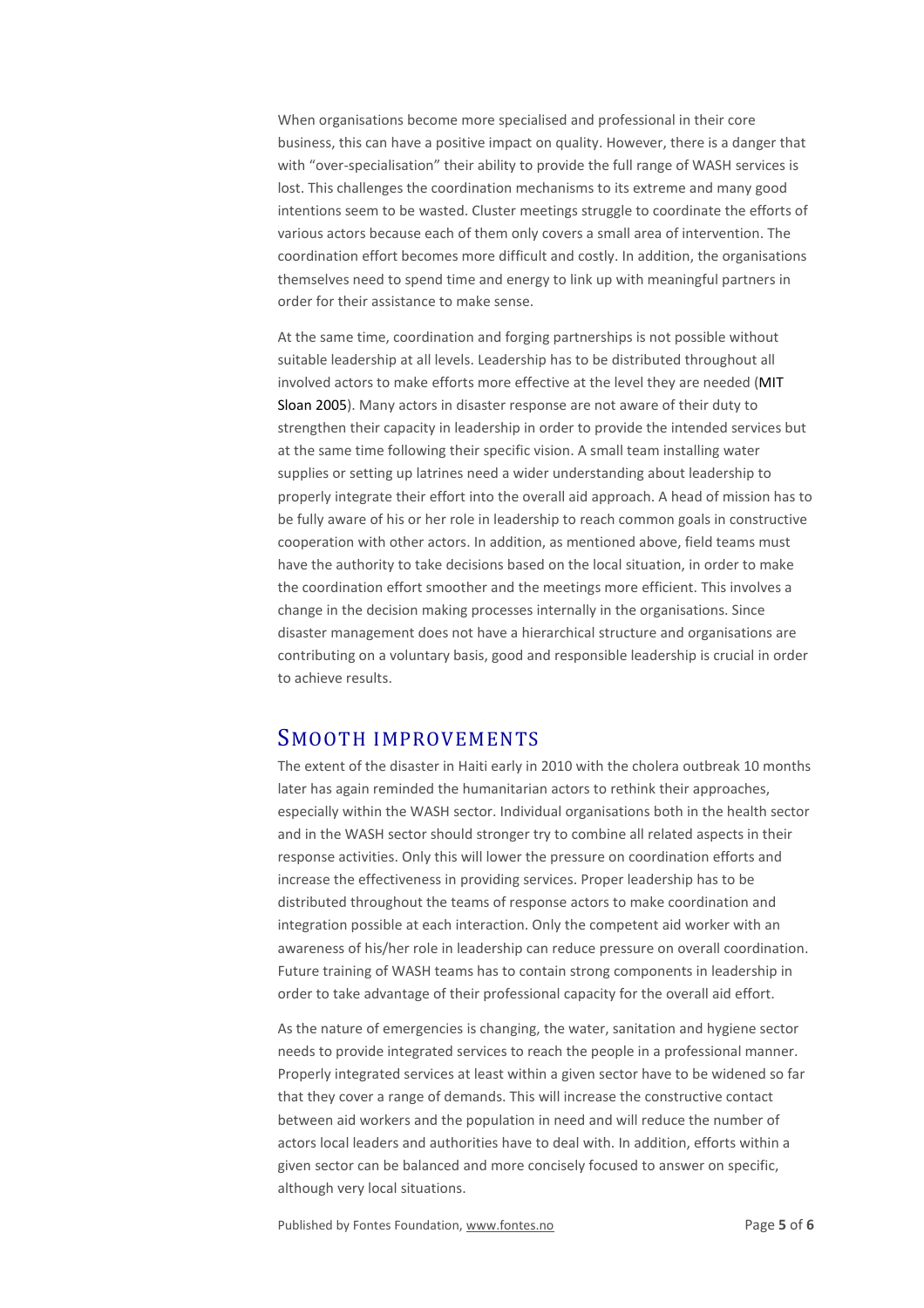When organisations become more specialised and professional in their core business, this can have a positive impact on quality. However, there is a danger that with "over-specialisation" their ability to provide the full range of WASH services is lost. This challenges the coordination mechanisms to its extreme and many good intentions seem to be wasted. Cluster meetings struggle to coordinate the efforts of various actors because each of them only covers a small area of intervention. The coordination effort becomes more difficult and costly. In addition, the organisations themselves need to spend time and energy to link up with meaningful partners in order for their assistance to make sense.

At the same time, coordination and forging partnerships is not possible without suitable leadership at all levels. Leadership has to be distributed throughout all involved actors to make efforts more effective at the level they are needed (MIT Sloan 2005). Many actors in disaster response are not aware of their duty to strengthen their capacity in leadership in order to provide the intended services but at the same time following their specific vision. A small team installing water supplies or setting up latrines need a wider understanding about leadership to properly integrate their effort into the overall aid approach. A head of mission has to be fully aware of his or her role in leadership to reach common goals in constructive cooperation with other actors. In addition, as mentioned above, field teams must have the authority to take decisions based on the local situation, in order to make the coordination effort smoother and the meetings more efficient. This involves a change in the decision making processes internally in the organisations. Since disaster management does not have a hierarchical structure and organisations are contributing on a voluntary basis, good and responsible leadership is crucial in order to achieve results.

#### SMOOTH IMPROVEMENTS

The extent of the disaster in Haiti early in 2010 with the cholera outbreak 10 months later has again reminded the humanitarian actors to rethink their approaches, especially within the WASH sector. Individual organisations both in the health sector and in the WASH sector should stronger try to combine all related aspects in their response activities. Only this will lower the pressure on coordination efforts and increase the effectiveness in providing services. Proper leadership has to be distributed throughout the teams of response actors to make coordination and integration possible at each interaction. Only the competent aid worker with an awareness of his/her role in leadership can reduce pressure on overall coordination. Future training of WASH teams has to contain strong components in leadership in order to take advantage of their professional capacity for the overall aid effort.

As the nature of emergencies is changing, the water, sanitation and hygiene sector needs to provide integrated services to reach the people in a professional manner. Properly integrated services at least within a given sector have to be widened so far that they cover a range of demands. This will increase the constructive contact between aid workers and the population in need and will reduce the number of actors local leaders and authorities have to deal with. In addition, efforts within a given sector can be balanced and more concisely focused to answer on specific, although very local situations.